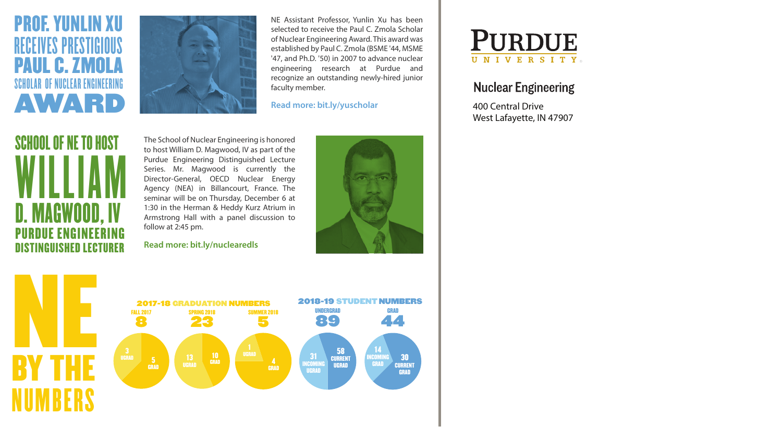### PROF. YUNLIN XU RECEIVES PRESTIGIOUS UL C. ZMOL SCHOLAR OF NUCLEAR ENGINEERING AWARD



NE Assistant Professor, Yunlin Xu has been selected to receive the Paul C. Zmola Scholar of Nuclear Engineering Award. This award was established by Paul C. Zmola (BSME '44, MSME '47, and Ph.D. '50) in 2007 to advance nuclear engineering research at Purdue and recognize an outstanding newly-hired junior faculty member.

**Read more: bit.ly/yuscholar**

## SCHOOL OF NE TO HOST WILLIAM<br>Daacwood iv D. MAGWOOD, IV PURDUE ENGINEERING DISTINGUISHED LECTURER

The School of Nuclear Engineering is honored to host William D. Magwood, IV as part of the Purdue Engineering Distinguished Lecture Series. Mr. Magwood is currently the Director-General, OECD Nuclear Energy Agency (NEA) in Billancourt, France. The seminar will be on Thursday, December 6 at 1:30 in the Herman & Heddy Kurz Atrium in Armstrong Hall with a panel discussion to follow at 2:45 pm.

#### **Read more: bit.ly/nuclearedls**







#### **Nuclear Engineering**

400 Central Drive West Lafayette, IN 47907